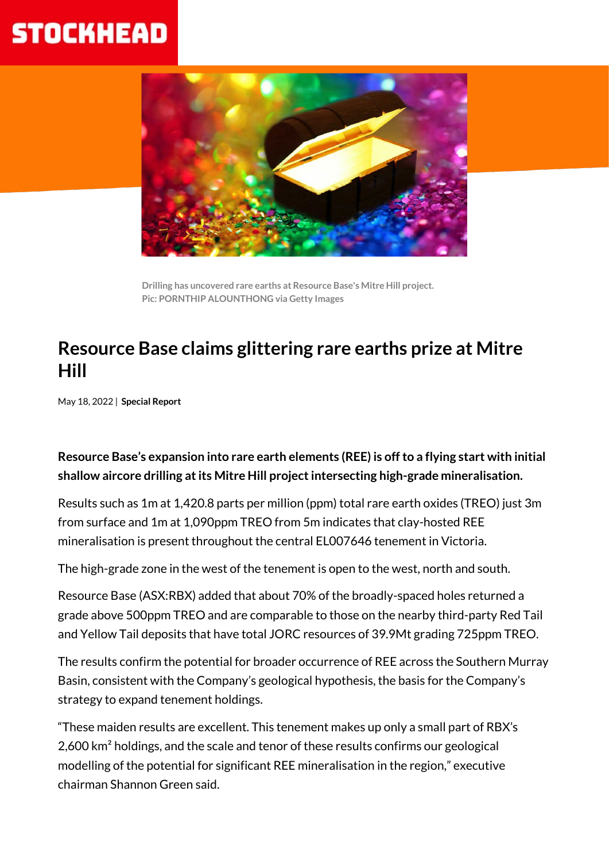# **STOCKHEAD**



**Drilling has uncovered rare earths at Resource Base's Mitre Hill project. Pic: PORNTHIP ALOUNTHONG via Getty Images**

### **Resource Base claims glittering rare earths prize at Mitre Hill**

May 18, 2022 | **Special Report**

#### **Resource Base's expansion into rare earth elements (REE) is off to a flying start with initial shallow aircore drilling at its Mitre Hill project intersecting high-grade mineralisation.**

Results such as 1m at 1,420.8 parts per million (ppm) total rare earth oxides (TREO) just 3m from surface and 1m at 1,090ppm TREO from 5m indicates that clay-hosted REE mineralisation is present throughout the central EL007646 tenement in Victoria.

The high-grade zone in the west of the tenement is open to the west, north and south.

Resource Base (ASX:RBX) added that about 70% of the broadly-spaced holes returned a grade above 500ppm TREO and are comparable to those on the nearby third-party Red Tail and Yellow Tail deposits that have total JORC resources of 39.9Mt grading 725ppm TREO.

The results confirm the potential for broader occurrence of REE across the Southern Murray Basin, consistent with the Company's geological hypothesis, the basis for the Company's strategy to expand tenement holdings.

"These maiden results are excellent. This tenement makes up only a small part of RBX's 2,600 km² holdings, and the scale and tenor of these results confirms our geological modelling of the potential for significant REE mineralisation in the region," executive chairman Shannon Green said.